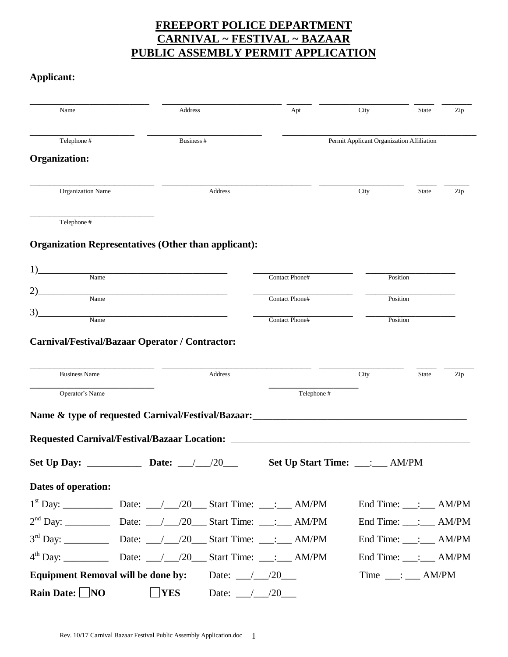# **FREEPORT POLICE DEPARTMENT CARNIVAL ~ FESTIVAL ~ BAZAAR PUBLIC ASSEMBLY PERMIT APPLICATION**

### **Applicant:**

| Name                     | <b>Address</b>                                                 | Apt            | City                                              | Zip<br><b>State</b>                        |
|--------------------------|----------------------------------------------------------------|----------------|---------------------------------------------------|--------------------------------------------|
| Telephone #              | Business #                                                     |                | Permit Applicant Organization Affiliation         |                                            |
| <b>Organization:</b>     |                                                                |                |                                                   |                                            |
| <b>Organization Name</b> | Address                                                        |                | City                                              | Zip<br><b>State</b>                        |
| Telephone #              |                                                                |                |                                                   |                                            |
|                          | <b>Organization Representatives (Other than applicant):</b>    |                |                                                   |                                            |
| 1)<br>Name               |                                                                | Contact Phone# | Position                                          |                                            |
|                          |                                                                |                |                                                   |                                            |
| Name                     |                                                                | Contact Phone# | Position                                          |                                            |
| 3)<br>Name               |                                                                | Contact Phone# | Position                                          |                                            |
| <b>Business Name</b>     | Address                                                        |                | City                                              | <b>State</b><br>Zip                        |
| Operator's Name          |                                                                | Telephone#     |                                                   |                                            |
|                          | Name & type of requested Carnival/Festival/Bazaar:             |                | <u> 1989 - Johann Barbara, martxa alemaniar a</u> |                                            |
|                          | <b>Requested Carnival/Festival/Bazaar Location:</b>            |                |                                                   |                                            |
| <b>Set Up Day:</b>       | Date:<br>/20                                                   |                | Set Up Start Time: ___:                           | <b>AM/PM</b>                               |
| Dates of operation:      |                                                                |                |                                                   |                                            |
|                          |                                                                |                |                                                   | End Time: $\_\_\_\_\_\_\_\_\_\$ AM/PM      |
|                          |                                                                |                |                                                   | End Time: $\qquad \qquad$ : $\qquad$ AM/PM |
|                          |                                                                |                |                                                   | End Time: ___: ___ AM/PM                   |
|                          |                                                                |                |                                                   | End Time: ___: ___ AM/PM                   |
|                          | <b>Equipment Removal will be done by:</b> Date: $\frac{1}{20}$ |                |                                                   | $Time \_\_\div \_\_\$ AM/PM                |
| Rain Date: $\Box$ NO     | <b>YES</b>                                                     | Date: $/20$    |                                                   |                                            |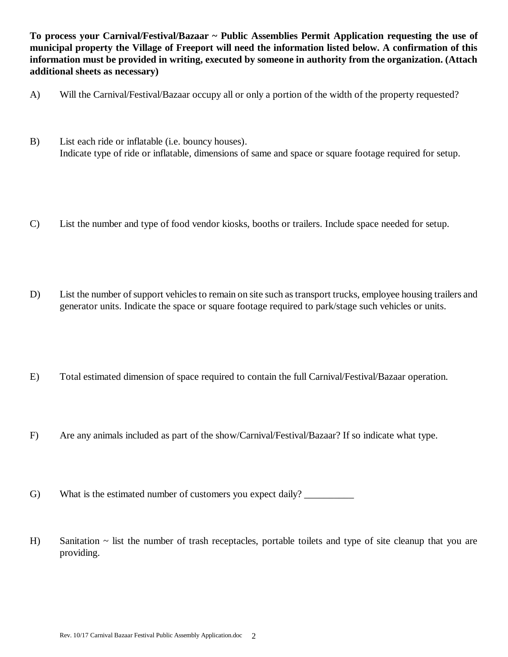**To process your Carnival/Festival/Bazaar ~ Public Assemblies Permit Application requesting the use of municipal property the Village of Freeport will need the information listed below. A confirmation of this information must be provided in writing, executed by someone in authority from the organization. (Attach additional sheets as necessary)**

- A) Will the Carnival/Festival/Bazaar occupy all or only a portion of the width of the property requested?
- B) List each ride or inflatable (i.e. bouncy houses). Indicate type of ride or inflatable, dimensions of same and space or square footage required for setup.
- C) List the number and type of food vendor kiosks, booths or trailers. Include space needed for setup.
- D) List the number of support vehicles to remain on site such as transport trucks, employee housing trailers and generator units. Indicate the space or square footage required to park/stage such vehicles or units.
- E) Total estimated dimension of space required to contain the full Carnival/Festival/Bazaar operation.
- F) Are any animals included as part of the show/Carnival/Festival/Bazaar? If so indicate what type.
- G) What is the estimated number of customers you expect daily?
- H) Sanitation ~ list the number of trash receptacles, portable toilets and type of site cleanup that you are providing.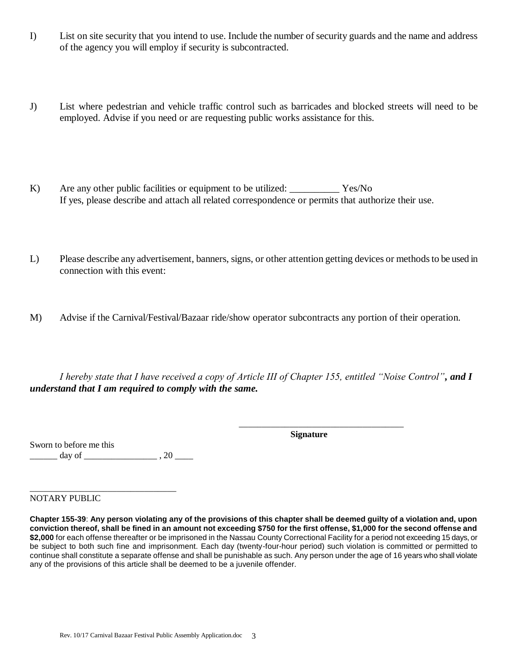- I) List on site security that you intend to use. Include the number of security guards and the name and address of the agency you will employ if security is subcontracted.
- J) List where pedestrian and vehicle traffic control such as barricades and blocked streets will need to be employed. Advise if you need or are requesting public works assistance for this.
- K) Are any other public facilities or equipment to be utilized: Yes/No If yes, please describe and attach all related correspondence or permits that authorize their use.
- L) Please describe any advertisement, banners, signs, or other attention getting devices or methods to be used in connection with this event:
- M) Advise if the Carnival/Festival/Bazaar ride/show operator subcontracts any portion of their operation.

*I hereby state that I have received a copy of Article III of Chapter 155, entitled "Noise Control", and I understand that I am required to comply with the same.* 

**Signature**

\_\_\_\_\_\_\_\_\_\_\_\_\_\_\_\_\_\_\_\_\_\_\_\_\_\_\_\_\_\_\_\_\_\_\_\_

Sworn to before me this

 $\frac{1}{\sqrt{2}}$  day of  $\frac{1}{\sqrt{2}}$ , 20  $\frac{1}{\sqrt{2}}$ 

\_\_\_\_\_\_\_\_\_\_\_\_\_\_\_\_\_\_\_\_\_\_\_\_\_\_\_\_\_\_\_\_

NOTARY PUBLIC

**Chapter 155-39**: **Any person violating any of the provisions of this chapter shall be deemed guilty of a violation and, upon conviction thereof, shall be fined in an amount not exceeding \$750 for the first offense, \$1,000 for the second offense and \$2,000** for each offense thereafter or be imprisoned in the Nassau County Correctional Facility for a period not exceeding 15 days, or be subject to both such fine and imprisonment. Each day (twenty-four-hour period) such violation is committed or permitted to continue shall constitute a separate offense and shall be punishable as such. Any person under the age of 16 years who shall violate any of the provisions of this article shall be deemed to be a juvenile offender.